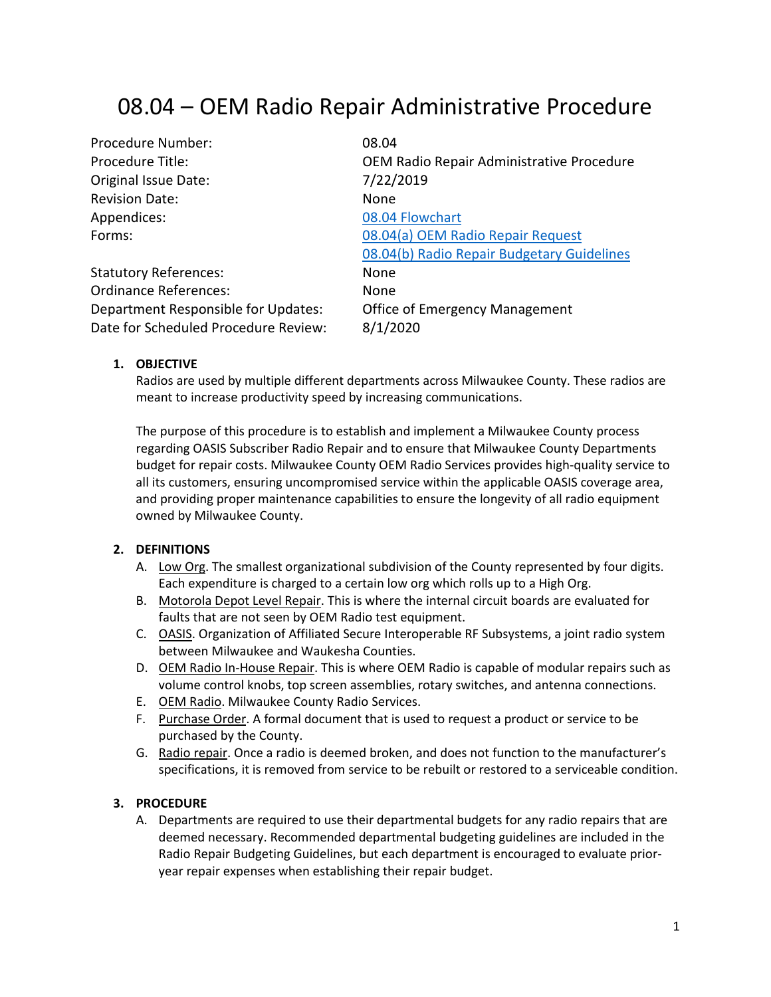# 08.04 – OEM Radio Repair Administrative Procedure

| Procedure Number:                    | 08.04                                      |
|--------------------------------------|--------------------------------------------|
| Procedure Title:                     | OEM Radio Repair Administrative Procedure  |
| Original Issue Date:                 | 7/22/2019                                  |
| <b>Revision Date:</b>                | None                                       |
| Appendices:                          | 08.04 Flowchart                            |
| Forms:                               | 08.04(a) OEM Radio Repair Request          |
|                                      | 08.04(b) Radio Repair Budgetary Guidelines |
| <b>Statutory References:</b>         | None                                       |
| <b>Ordinance References:</b>         | None                                       |
| Department Responsible for Updates:  | Office of Emergency Management             |
| Date for Scheduled Procedure Review: | 8/1/2020                                   |

#### **1. OBJECTIVE**

Radios are used by multiple different departments across Milwaukee County. These radios are meant to increase productivity speed by increasing communications.

The purpose of this procedure is to establish and implement a Milwaukee County process regarding OASIS Subscriber Radio Repair and to ensure that Milwaukee County Departments budget for repair costs. Milwaukee County OEM Radio Services provides high-quality service to all its customers, ensuring uncompromised service within the applicable OASIS coverage area, and providing proper maintenance capabilities to ensure the longevity of all radio equipment owned by Milwaukee County.

## <span id="page-0-4"></span>**2. DEFINITIONS**

- A. Low Org. The smallest organizational subdivision of the County represented by four digits. Each expenditure is charged to a certain low org which rolls up to a High Org.
- <span id="page-0-1"></span>B. Motorola Depot Level Repair. This is where the internal circuit boards are evaluated for faults that are not seen by OEM Radio test equipment.
- C. OASIS. Organization of Affiliated Secure Interoperable RF Subsystems, a joint radio system between Milwaukee and Waukesha Counties.
- <span id="page-0-2"></span>D. OEM Radio In-House Repair. This is where OEM Radio is capable of modular repairs such as volume control knobs, top screen assemblies, rotary switches, and antenna connections.
- E. OEM Radio. Milwaukee County Radio Services.
- <span id="page-0-3"></span>F. Purchase Order. A formal document that is used to request a product or service to be purchased by the County.
- <span id="page-0-0"></span>G. Radio repair. Once a radio is deemed broken, and does not function to the manufacturer's specifications, it is removed from service to be rebuilt or restored to a serviceable condition.

## **3. PROCEDURE**

A. Departments are required to use their departmental budgets for any radio repairs that are deemed necessary. Recommended departmental budgeting guidelines are included in the Radio Repair Budgeting Guidelines, but each department is encouraged to evaluate prioryear repair expenses when establishing their repair budget.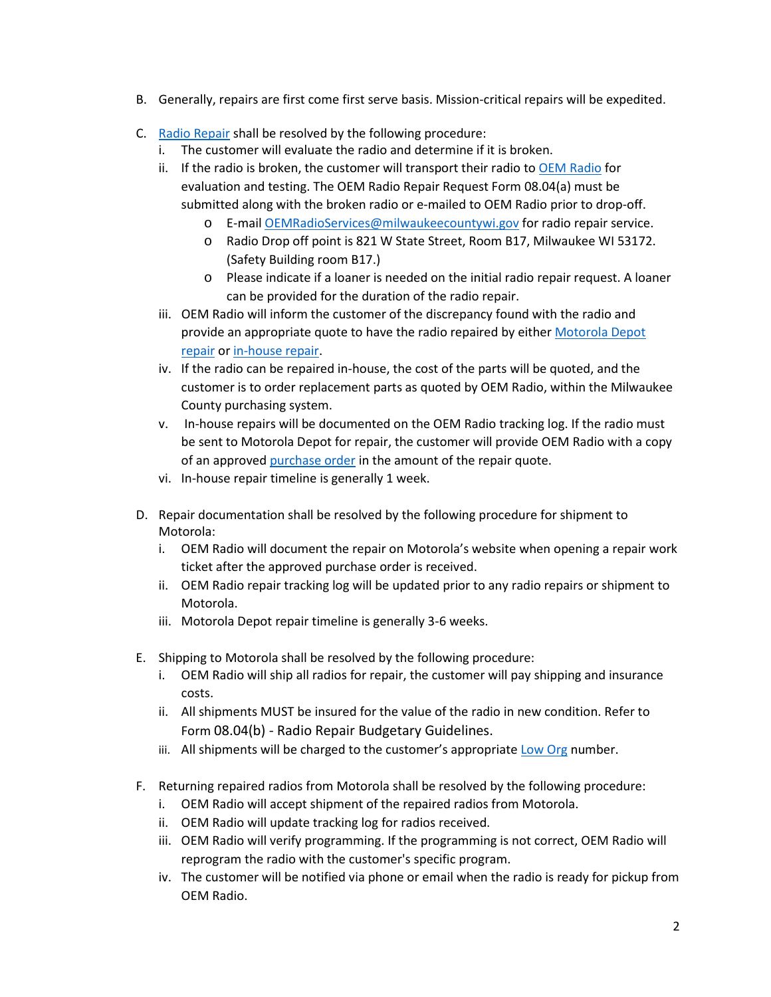- B. Generally, repairs are first come first serve basis. Mission-critical repairs will be expedited.
- C. [Radio Repair](#page-0-0) shall be resolved by the following procedure:
	- i. The customer will evaluate the radio and determine if it is broken.
	- ii. If the radio is broken, the customer will transport their radio to [OEM Radio](#page-0-1) for evaluation and testing. The OEM Radio Repair Request Form 08.04(a) must be submitted along with the broken radio or e-mailed to OEM Radio prior to drop-off.
		- o E-mail [OEMRadioServices@milwaukeecountywi.gov](mailto:OEMRadioServices@milwaukeecountywi.gov) for radio repair service.
		- o Radio Drop off point is 821 W State Street, Room B17, Milwaukee WI 53172. (Safety Building room B17.)
		- o Please indicate if a loaner is needed on the initial radio repair request. A loaner can be provided for the duration of the radio repair.
	- iii. OEM Radio will inform the customer of the discrepancy found with the radio and provide an appropriate quote to have the radio repaired by either Motorola Depot [repair](#page-0-1) o[r in-house](#page-0-2) repair.
	- iv. If the radio can be repaired in-house, the cost of the parts will be quoted, and the customer is to order replacement parts as quoted by OEM Radio, within the Milwaukee County purchasing system.
	- v. In-house repairs will be documented on the OEM Radio tracking log. If the radio must be sent to Motorola Depot for repair, the customer will provide OEM Radio with a copy of an approved [purchase order](#page-0-3) in the amount of the repair quote.
	- vi. In-house repair timeline is generally 1 week.
- D. Repair documentation shall be resolved by the following procedure for shipment to Motorola:
	- i. OEM Radio will document the repair on Motorola's website when opening a repair work ticket after the approved purchase order is received.
	- ii. OEM Radio repair tracking log will be updated prior to any radio repairs or shipment to Motorola.
	- iii. Motorola Depot repair timeline is generally 3-6 weeks.
- E. Shipping to Motorola shall be resolved by the following procedure:
	- i. OEM Radio will ship all radios for repair, the customer will pay shipping and insurance costs.
	- ii. All shipments MUST be insured for the value of the radio in new condition. Refer to Form 08.04(b) - Radio Repair Budgetary Guidelines.
	- iii. All shipments will be charged to the customer's appropriate [Low](#page-0-4) Org number.
- F. Returning repaired radios from Motorola shall be resolved by the following procedure:
	- i. OEM Radio will accept shipment of the repaired radios from Motorola.
	- ii. OEM Radio will update tracking log for radios received.
	- iii. OEM Radio will verify programming. If the programming is not correct, OEM Radio will reprogram the radio with the customer's specific program.
	- iv. The customer will be notified via phone or email when the radio is ready for pickup from OEM Radio.